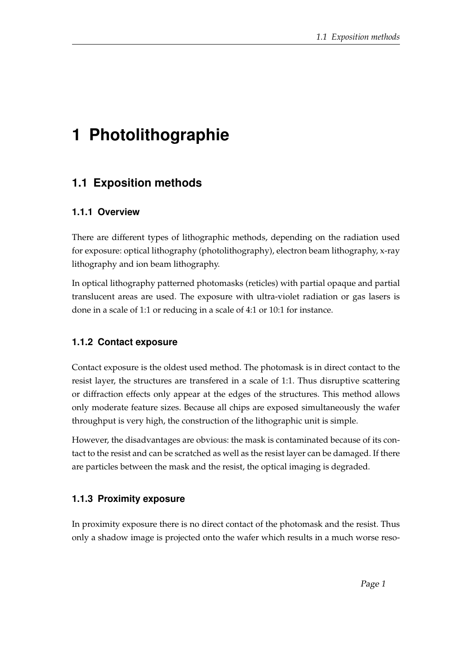# **1 Photolithographie**

# **1.1 Exposition methods**

#### **1.1.1 Overview**

There are different types of lithographic methods, depending on the radiation used for exposure: optical lithography (photolithography), electron beam lithography, x-ray lithography and ion beam lithography.

In optical lithography patterned photomasks (reticles) with partial opaque and partial translucent areas are used. The exposure with ultra-violet radiation or gas lasers is done in a scale of 1:1 or reducing in a scale of 4:1 or 10:1 for instance.

# **1.1.2 Contact exposure**

Contact exposure is the oldest used method. The photomask is in direct contact to the resist layer, the structures are transfered in a scale of 1:1. Thus disruptive scattering or diffraction effects only appear at the edges of the structures. This method allows only moderate feature sizes. Because all chips are exposed simultaneously the wafer throughput is very high, the construction of the lithographic unit is simple.

However, the disadvantages are obvious: the mask is contaminated because of its contact to the resist and can be scratched as well as the resist layer can be damaged. If there are particles between the mask and the resist, the optical imaging is degraded.

#### **1.1.3 Proximity exposure**

In proximity exposure there is no direct contact of the photomask and the resist. Thus only a shadow image is projected onto the wafer which results in a much worse reso-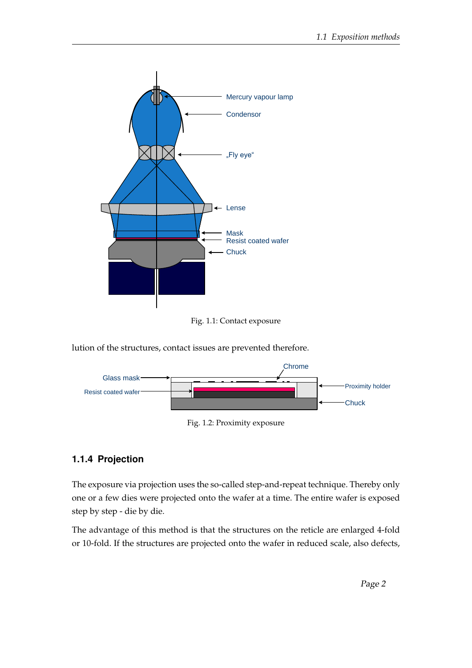

Fig. 1.1: Contact exposure

lution of the structures, contact issues are prevented therefore.



Fig. 1.2: Proximity exposure

#### **1.1.4 Projection**

The exposure via projection uses the so-called step-and-repeat technique. Thereby only one or a few dies were projected onto the wafer at a time. The entire wafer is exposed step by step - die by die.

The advantage of this method is that the structures on the reticle are enlarged 4-fold or 10-fold. If the structures are projected onto the wafer in reduced scale, also defects,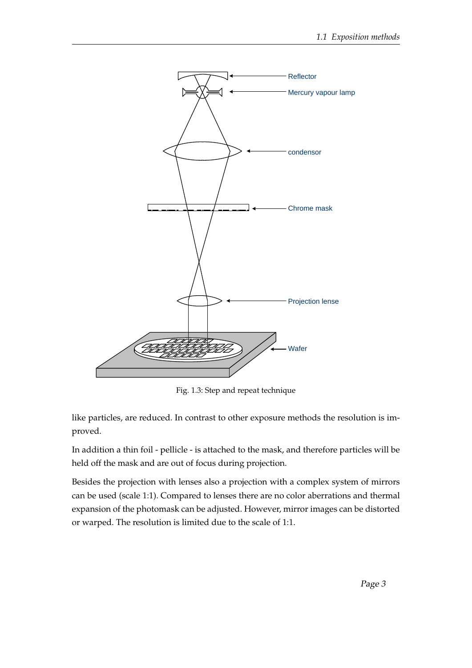

Fig. 1.3: Step and repeat technique

like particles, are reduced. In contrast to other exposure methods the resolution is improved.

In addition a thin foil - pellicle - is attached to the mask, and therefore particles will be held off the mask and are out of focus during projection.

Besides the projection with lenses also a projection with a complex system of mirrors can be used (scale 1:1). Compared to lenses there are no color aberrations and thermal expansion of the photomask can be adjusted. However, mirror images can be distorted or warped. The resolution is limited due to the scale of 1:1.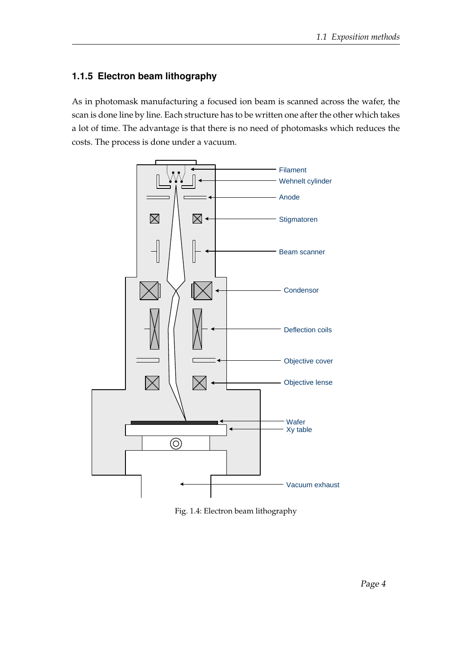## **1.1.5 Electron beam lithography**

As in photomask manufacturing a focused ion beam is scanned across the wafer, the scan is done line by line. Each structure has to be written one after the other which takes a lot of time. The advantage is that there is no need of photomasks which reduces the costs. The process is done under a vacuum.



Fig. 1.4: Electron beam lithography